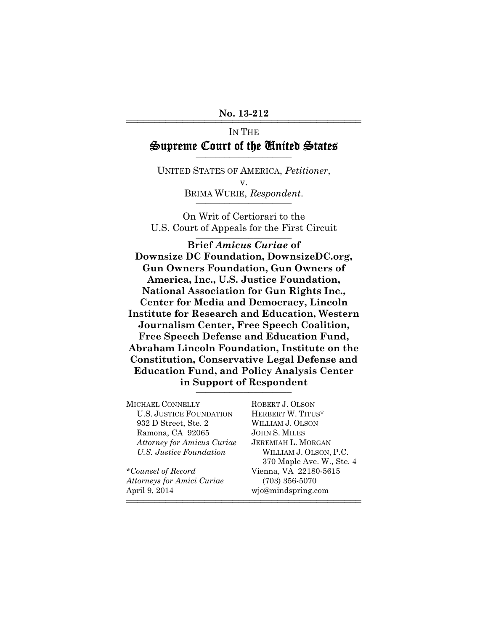## IN THE Supreme Court of the United States

UNITED STATES OF AMERICA, *Petitioner*, v. BRIMA WURIE, Respondent.

On Writ of Certiorari to the U.S. Court of Appeals for the First Circuit

**Brief** *Amicus Curiae* **of Downsize DC Foundation, DownsizeDC.org, Gun Owners Foundation, Gun Owners of America, Inc., U.S. Justice Foundation, National Association for Gun Rights Inc., Center for Media and Democracy, Lincoln Institute for Research and Education, Western Journalism Center, Free Speech Coalition, Free Speech Defense and Education Fund, Abraham Lincoln Foundation, Institute on the Constitution, Conservative Legal Defense and Education Fund, and Policy Analysis Center in Support of Respondent** \_\_\_\_\_\_\_\_\_\_\_\_\_\_\_\_\_\_\_\_

MICHAEL CONNELLY ROBERT J. OLSON U.S. JUSTICE FOUNDATION HERBERT W. TITUS\* 932 D Street, Ste. 2 WILLIAM J. OLSON Ramona, CA 92065 JOHN S. MILES *Attorney for Amicus Curiae* JEREMIAH L. MORGAN *U.S. Justice Foundation* WILLIAM J. OLSON, P.C. 370 Maple Ave. W., Ste. 4 \**Counsel of Record* Vienna, VA 22180-5615 *Attorneys for Amici Curiae* (703) 356-5070 April 9, 2014 wjo@mindspring.com

444444444444444444444444444444444444444444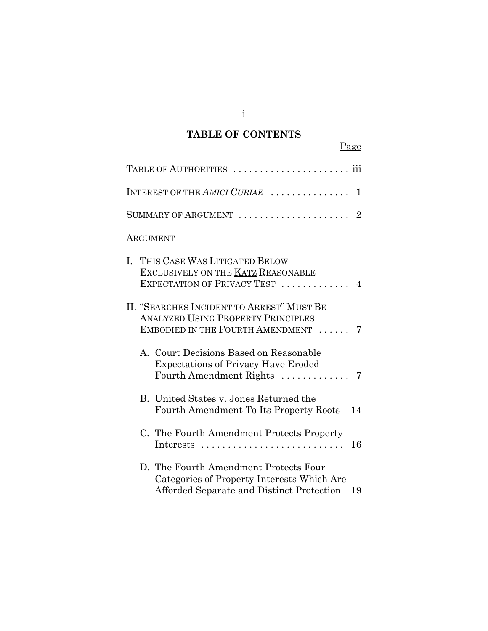# **TABLE OF CONTENTS**

|          | Page                                                                                                                                   |                |
|----------|----------------------------------------------------------------------------------------------------------------------------------------|----------------|
|          |                                                                                                                                        |                |
|          | INTEREST OF THE AMICI CURIAE                                                                                                           | 1              |
|          | SUMMARY OF ARGUMENT  2                                                                                                                 |                |
| ARGUMENT |                                                                                                                                        |                |
| L.       | THIS CASE WAS LITIGATED BELOW<br>EXCLUSIVELY ON THE KATZ REASONABLE<br>EXPECTATION OF PRIVACY TEST                                     | $\overline{4}$ |
|          | II. "SEARCHES INCIDENT TO ARREST" MUST BE<br><b>ANALYZED USING PROPERTY PRINCIPLES</b><br>EMBODIED IN THE FOURTH AMENDMENT             | 7              |
|          | A. Court Decisions Based on Reasonable<br><b>Expectations of Privacy Have Eroded</b><br>Fourth Amendment Rights $\dots\dots\dots\dots$ | 7              |
|          | B. United States v. Jones Returned the<br>Fourth Amendment To Its Property Roots                                                       | 14             |
|          | C. The Fourth Amendment Protects Property<br>Interests                                                                                 | 16             |
|          | D. The Fourth Amendment Protects Four<br>Categories of Property Interests Which Are<br>Afforded Separate and Distinct Protection       | 19             |

i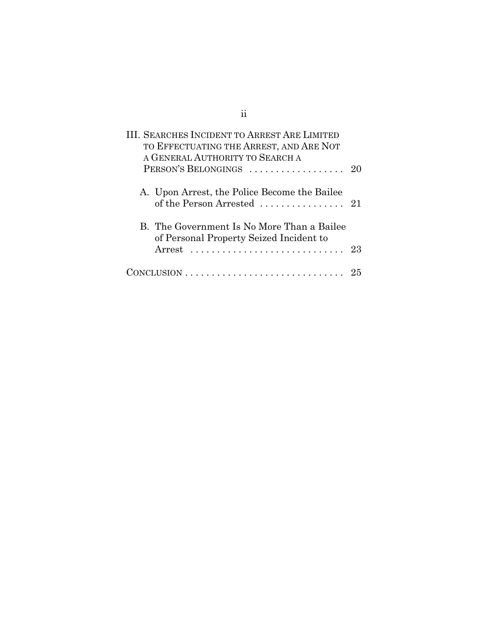| <b>III. SEARCHES INCIDENT TO ARREST ARE LIMITED</b><br>TO EFFECTUATING THE ARREST, AND ARE NOT          |    |
|---------------------------------------------------------------------------------------------------------|----|
| A GENERAL AUTHORITY TO SEARCH A                                                                         |    |
| PERSON'S BELONGINGS                                                                                     | 20 |
| A. Upon Arrest, the Police Become the Bailee<br>of the Person Arrested $\ldots \ldots \ldots \ldots 21$ |    |
| B. The Government Is No More Than a Bailee<br>of Personal Property Seized Incident to<br>Arrest         | 23 |
|                                                                                                         |    |

# ii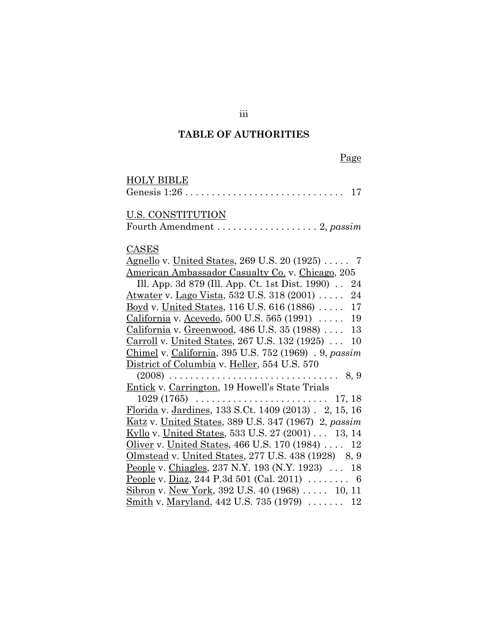#### **TABLE OF AUTHORITIES**

Page

## HOLY BIBLE Genesis 1:26 . . . . . . . . . . . . . . . . . . . . . . . . . . . . . . 17 U.S. CONSTITUTION Fourth Amendment . . . . . . . . . . . . . . . . . . . 2, *passim* CASES Agnello v. United States, 269 U.S. 20 (1925) ..... 7 American Ambassador Casualty Co. v. Chicago, 205 Ill. App. 3d 879 (Ill. App. Ct. 1st Dist. 1990) . . 24 Atwater v. Lago Vista, 532 U.S. 318 (2001) . . . . . 24 Boyd v. United States, 116 U.S. 616 (1886) . . . . . 17 California v. Acevedo, 500 U.S. 565 (1991) . . . . . 19 California v. Greenwood, 486 U.S. 35 (1988) . . . . 13 Carroll v. United States, 267 U.S. 132 (1925) . . . 10 Chimel v. California, 395 U.S. 752 (1969) . 9, *passim* District of Columbia v. Heller, 554 U.S. 570 (2008) . . . . . . . . . . . . . . . . . . . . . . . . . . . . . . . . 8, 9 Entick v. Carrington, 19 Howell's State Trials 1029 (1765) . . . . . . . . . . . . . . . . . . . . . . . . . 17, 18 Florida v. Jardines, 133 S.Ct. 1409 (2013) . 2, 15, 16 Katz v. United States, 389 U.S. 347 (1967) 2, *passim* Kyllo v. United States, 533 U.S. 27 (2001) . . . 13, 14 Oliver v. United States, 466 U.S. 170 (1984) . . . . 12 Olmstead v. United States, 277 U.S. 438 (1928) 8, 9 People v. Chiagles, 237 N.Y. 193 (N.Y. 1923) . . . 18 People v. Diaz, 244 P.3d 501 (Cal. 2011) ........ 6 Sibron v. New York, 392 U.S. 40 (1968) ..... 10, 11 Smith v. Maryland, 442 U.S. 735 (1979) . . . . . . . 12

iii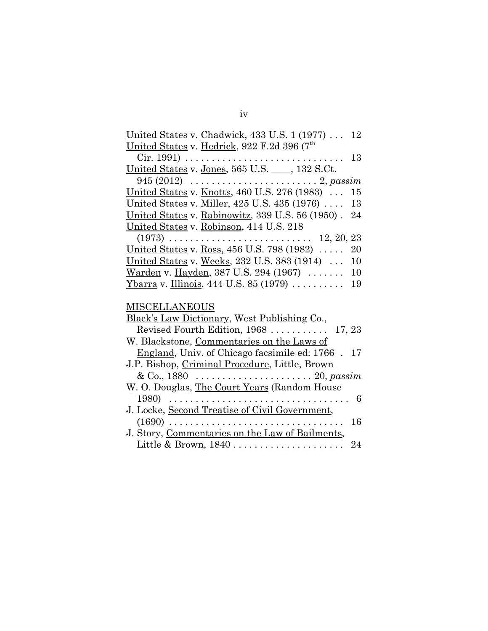| United States v. Chadwick, 433 U.S. 1 (1977)<br>12                                       |
|------------------------------------------------------------------------------------------|
| United States v. Hedrick, 922 F.2d 396 (7th                                              |
| $Cir. 1991) \ldots \ldots \ldots \ldots \ldots \ldots \ldots \ldots \ldots \ldots$<br>13 |
| United States v. Jones, 565 U.S. ___, 132 S.Ct.                                          |
| 945 (2012) $\ldots \ldots \ldots \ldots \ldots \ldots \ldots \ldots 2$ , passim          |
| United States v. Knotts, 460 U.S. 276 (1983)<br>15                                       |
| United States v. Miller, 425 U.S. 435 (1976)<br>13                                       |
| United States v. Rabinowitz, 339 U.S. 56 (1950).<br>24                                   |
| United States v. Robinson, 414 U.S. 218                                                  |
|                                                                                          |
| United States v. Ross, 456 U.S. 798 (1982)<br>20                                         |
| United States v. Weeks, 232 U.S. 383 (1914)<br>10                                        |
| Warden v. Hayden, 387 U.S. 294 (1967)<br>10                                              |
| $Ybarra$ v. Illinois, 444 U.S. 85 (1979)<br>19                                           |
|                                                                                          |
| <b>MISCELLANEOUS</b>                                                                     |
|                                                                                          |
| Black's Law Dictionary, West Publishing Co.,                                             |
| Revised Fourth Edition, 1968<br>17, 23                                                   |
| W. Blackstone, Commentaries on the Laws of                                               |
| England, Univ. of Chicago facsimile ed: 1766 . 17                                        |
| J.P. Bishop, Criminal Procedure, Little, Brown                                           |
| & Co., 1880 $\ldots \ldots \ldots \ldots \ldots \ldots \ldots \ldots 20$ , passim        |
| W. O. Douglas, The Court Years (Random House                                             |
|                                                                                          |
|                                                                                          |
| J. Locke, Second Treatise of Civil Government,<br>$(1690)$<br>16                         |
| J. Story, Commentaries on the Law of Bailments,                                          |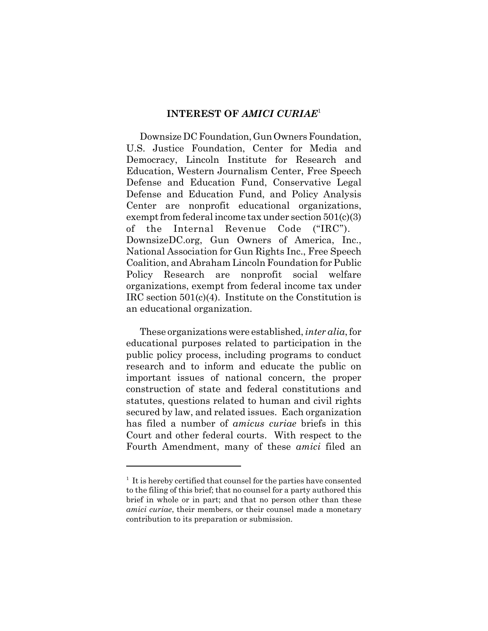#### **INTEREST OF** *AMICI CURIAE*<sup>1</sup>

Downsize DC Foundation, Gun Owners Foundation, U.S. Justice Foundation, Center for Media and Democracy, Lincoln Institute for Research and Education, Western Journalism Center, Free Speech Defense and Education Fund, Conservative Legal Defense and Education Fund, and Policy Analysis Center are nonprofit educational organizations, exempt from federal income tax under section 501(c)(3) of the Internal Revenue Code ("IRC"). DownsizeDC.org, Gun Owners of America, Inc., National Association for Gun Rights Inc., Free Speech Coalition, and Abraham Lincoln Foundation for Public Policy Research are nonprofit social welfare organizations, exempt from federal income tax under IRC section 501(c)(4). Institute on the Constitution is an educational organization.

These organizations were established, *inter alia*, for educational purposes related to participation in the public policy process, including programs to conduct research and to inform and educate the public on important issues of national concern, the proper construction of state and federal constitutions and statutes, questions related to human and civil rights secured by law, and related issues. Each organization has filed a number of *amicus curiae* briefs in this Court and other federal courts. With respect to the Fourth Amendment, many of these *amici* filed an

<sup>&</sup>lt;sup>1</sup> It is hereby certified that counsel for the parties have consented to the filing of this brief; that no counsel for a party authored this brief in whole or in part; and that no person other than these *amici curiae*, their members, or their counsel made a monetary contribution to its preparation or submission.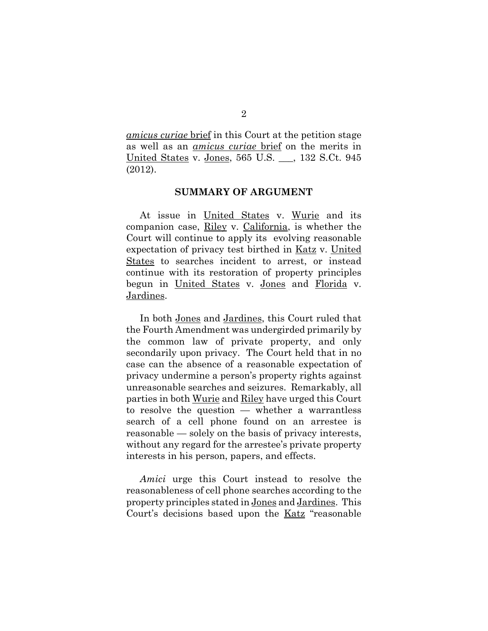*amicus curiae* brief in this Court at the petition stage as well as an *amicus curiae* brief on the merits in United States v. Jones, 565 U.S. \_\_\_, 132 S.Ct. 945 (2012).

#### **SUMMARY OF ARGUMENT**

At issue in United States v. Wurie and its companion case, Riley v. California, is whether the Court will continue to apply its evolving reasonable expectation of privacy test birthed in Katz v. United States to searches incident to arrest, or instead continue with its restoration of property principles begun in United States v. Jones and Florida v. Jardines.

In both Jones and Jardines, this Court ruled that the Fourth Amendment was undergirded primarily by the common law of private property, and only secondarily upon privacy. The Court held that in no case can the absence of a reasonable expectation of privacy undermine a person's property rights against unreasonable searches and seizures. Remarkably, all parties in both Wurie and Riley have urged this Court to resolve the question — whether a warrantless search of a cell phone found on an arrestee is reasonable — solely on the basis of privacy interests, without any regard for the arrestee's private property interests in his person, papers, and effects.

*Amici* urge this Court instead to resolve the reasonableness of cell phone searches according to the property principles stated in Jones and Jardines. This Court's decisions based upon the Katz "reasonable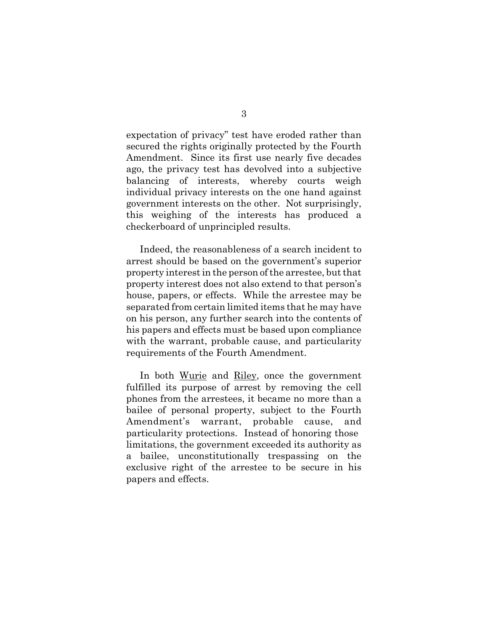expectation of privacy" test have eroded rather than secured the rights originally protected by the Fourth Amendment. Since its first use nearly five decades ago, the privacy test has devolved into a subjective balancing of interests, whereby courts weigh individual privacy interests on the one hand against government interests on the other. Not surprisingly, this weighing of the interests has produced a checkerboard of unprincipled results.

Indeed, the reasonableness of a search incident to arrest should be based on the government's superior property interest in the person of the arrestee, but that property interest does not also extend to that person's house, papers, or effects. While the arrestee may be separated from certain limited items that he may have on his person, any further search into the contents of his papers and effects must be based upon compliance with the warrant, probable cause, and particularity requirements of the Fourth Amendment.

In both Wurie and Riley, once the government fulfilled its purpose of arrest by removing the cell phones from the arrestees, it became no more than a bailee of personal property, subject to the Fourth Amendment's warrant, probable cause, and particularity protections. Instead of honoring those limitations, the government exceeded its authority as a bailee, unconstitutionally trespassing on the exclusive right of the arrestee to be secure in his papers and effects.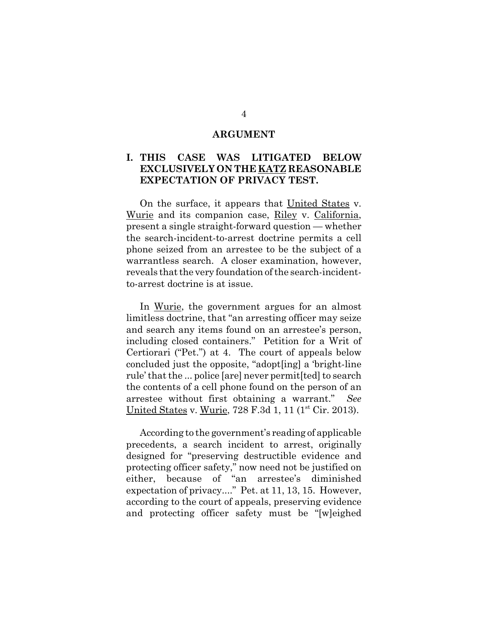#### **ARGUMENT**

### **I. THIS CASE WAS LITIGATED BELOW EXCLUSIVELY ON THE KATZ REASONABLE EXPECTATION OF PRIVACY TEST.**

On the surface, it appears that United States v. Wurie and its companion case, Riley v. California, present a single straight-forward question — whether the search-incident-to-arrest doctrine permits a cell phone seized from an arrestee to be the subject of a warrantless search. A closer examination, however, reveals that the very foundation of the search-incidentto-arrest doctrine is at issue.

In Wurie, the government argues for an almost limitless doctrine, that "an arresting officer may seize and search any items found on an arrestee's person, including closed containers." Petition for a Writ of Certiorari ("Pet.") at 4. The court of appeals below concluded just the opposite, "adopt[ing] a 'bright-line rule' that the ... police [are] never permit[ted] to search the contents of a cell phone found on the person of an arrestee without first obtaining a warrant." *See* United States v. Wurie, 728 F.3d 1, 11 (1<sup>st</sup> Cir. 2013).

According to the government's reading of applicable precedents, a search incident to arrest, originally designed for "preserving destructible evidence and protecting officer safety," now need not be justified on either, because of "an arrestee's diminished expectation of privacy...." Pet. at 11, 13, 15. However, according to the court of appeals, preserving evidence and protecting officer safety must be "[w]eighed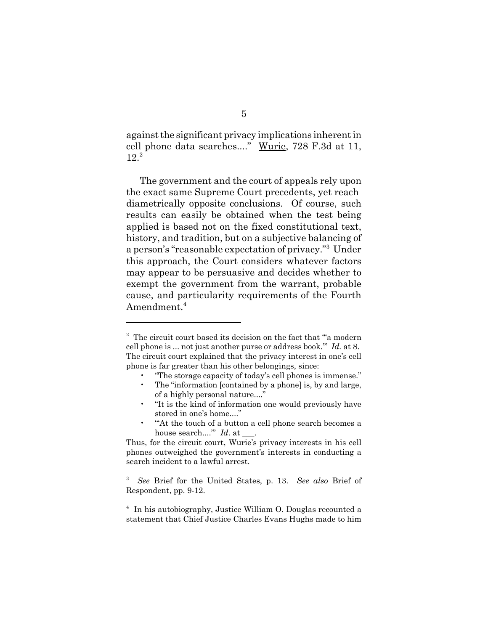against the significant privacy implications inherent in cell phone data searches...." Wurie, 728 F.3d at 11,  $12.<sup>2</sup>$ 

The government and the court of appeals rely upon the exact same Supreme Court precedents, yet reach diametrically opposite conclusions. Of course, such results can easily be obtained when the test being applied is based not on the fixed constitutional text, history, and tradition, but on a subjective balancing of a person's "reasonable expectation of privacy."<sup>3</sup> Under this approach, the Court considers whatever factors may appear to be persuasive and decides whether to exempt the government from the warrant, probable cause, and particularity requirements of the Fourth Amendment.<sup>4</sup>

- The "information [contained by a phone] is, by and large, of a highly personal nature...."
- "It is the kind of information one would previously have stored in one's home...."
- "'At the touch of a button a cell phone search becomes a house search....'" *Id*. at \_\_\_.

<sup>&</sup>lt;sup>2</sup> The circuit court based its decision on the fact that ""a modern cell phone is ... not just another purse or address book.'" *Id.* at 8. The circuit court explained that the privacy interest in one's cell phone is far greater than his other belongings, since:

<sup>• &</sup>quot;The storage capacity of today's cell phones is immense."

Thus, for the circuit court, Wurie's privacy interests in his cell phones outweighed the government's interests in conducting a search incident to a lawful arrest.

<sup>3</sup> *See* Brief for the United States, p. 13. *See also* Brief of Respondent, pp. 9-12.

<sup>4</sup> In his autobiography, Justice William O. Douglas recounted a statement that Chief Justice Charles Evans Hughs made to him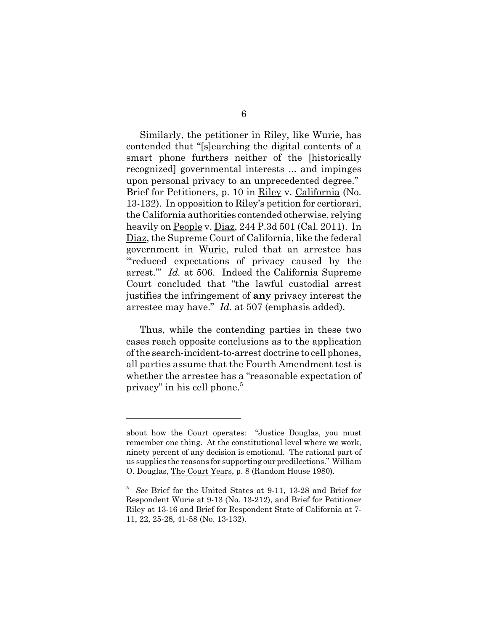Similarly, the petitioner in Riley, like Wurie, has contended that "[s]earching the digital contents of a smart phone furthers neither of the [historically recognized] governmental interests ... and impinges upon personal privacy to an unprecedented degree." Brief for Petitioners, p. 10 in Riley v. California (No. 13-132). In opposition to Riley's petition for certiorari, the California authorities contended otherwise, relying heavily on People v. Diaz, 244 P.3d 501 (Cal. 2011). In Diaz, the Supreme Court of California, like the federal government in Wurie, ruled that an arrestee has "'reduced expectations of privacy caused by the arrest.'" *Id.* at 506. Indeed the California Supreme Court concluded that "the lawful custodial arrest justifies the infringement of **any** privacy interest the arrestee may have." *Id.* at 507 (emphasis added).

Thus, while the contending parties in these two cases reach opposite conclusions as to the application of the search-incident-to-arrest doctrine to cell phones, all parties assume that the Fourth Amendment test is whether the arrestee has a "reasonable expectation of privacy" in his cell phone.5

about how the Court operates: "Justice Douglas, you must remember one thing. At the constitutional level where we work, ninety percent of any decision is emotional. The rational part of us supplies the reasons for supporting our predilections." William O. Douglas, The Court Years, p. 8 (Random House 1980).

<sup>5</sup> *See* Brief for the United States at 9-11, 13-28 and Brief for Respondent Wurie at 9-13 (No. 13-212), and Brief for Petitioner Riley at 13-16 and Brief for Respondent State of California at 7- 11, 22, 25-28, 41-58 (No. 13-132).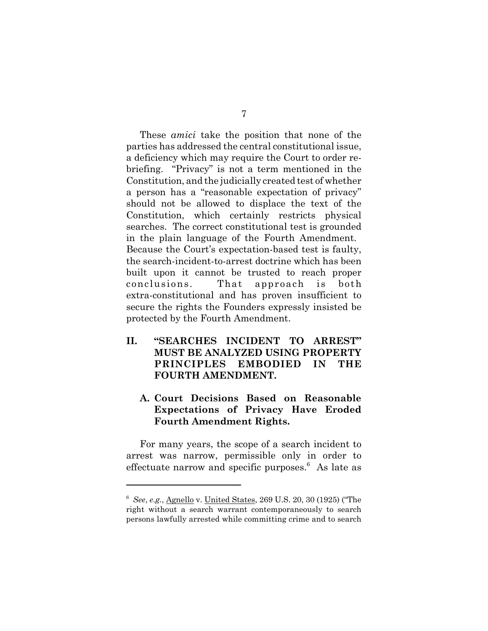These *amici* take the position that none of the parties has addressed the central constitutional issue, a deficiency which may require the Court to order rebriefing. "Privacy" is not a term mentioned in the Constitution, and the judicially created test of whether a person has a "reasonable expectation of privacy" should not be allowed to displace the text of the Constitution, which certainly restricts physical searches. The correct constitutional test is grounded in the plain language of the Fourth Amendment. Because the Court's expectation-based test is faulty, the search-incident-to-arrest doctrine which has been built upon it cannot be trusted to reach proper conclusions. That approach is both extra-constitutional and has proven insufficient to secure the rights the Founders expressly insisted be protected by the Fourth Amendment.

**II. "SEARCHES INCIDENT TO ARREST" MUST BE ANALYZED USING PROPERTY PRINCIPLES EMBODIED IN THE FOURTH AMENDMENT.**

## **A. Court Decisions Based on Reasonable Expectations of Privacy Have Eroded Fourth Amendment Rights.**

For many years, the scope of a search incident to arrest was narrow, permissible only in order to effectuate narrow and specific purposes.<sup>6</sup> As late as

<sup>6</sup> *See*, *e.g.*, Agnello v. United States, 269 U.S. 20, 30 (1925) ("The right without a search warrant contemporaneously to search persons lawfully arrested while committing crime and to search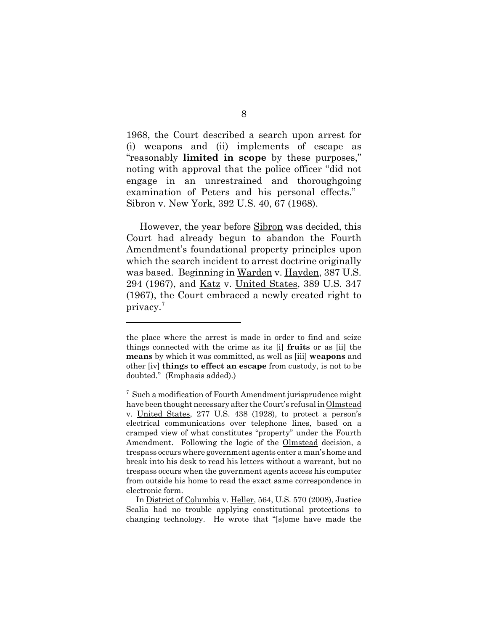1968, the Court described a search upon arrest for (i) weapons and (ii) implements of escape as "reasonably **limited in scope** by these purposes," noting with approval that the police officer "did not engage in an unrestrained and thoroughgoing examination of Peters and his personal effects." Sibron v. New York, 392 U.S. 40, 67 (1968).

However, the year before Sibron was decided, this Court had already begun to abandon the Fourth Amendment's foundational property principles upon which the search incident to arrest doctrine originally was based. Beginning in Warden v. Hayden, 387 U.S. 294 (1967), and <u>Katz</u> v. United States, 389 U.S. 347 (1967), the Court embraced a newly created right to privacy.<sup>7</sup>

the place where the arrest is made in order to find and seize things connected with the crime as its [i] **fruits** or as [ii] the **means** by which it was committed, as well as [iii] **weapons** and other [iv] **things to effect an escape** from custody, is not to be doubted." (Emphasis added).)

<sup>&</sup>lt;sup>7</sup> Such a modification of Fourth Amendment jurisprudence might have been thought necessary after the Court's refusal in Olmstead v. United States, 277 U.S. 438 (1928), to protect a person's electrical communications over telephone lines, based on a cramped view of what constitutes "property" under the Fourth Amendment. Following the logic of the Olmstead decision, a trespass occurs where government agents enter a man's home and break into his desk to read his letters without a warrant, but no trespass occurs when the government agents access his computer from outside his home to read the exact same correspondence in electronic form.

In District of Columbia v. Heller, 564, U.S. 570 (2008), Justice Scalia had no trouble applying constitutional protections to changing technology. He wrote that "[s]ome have made the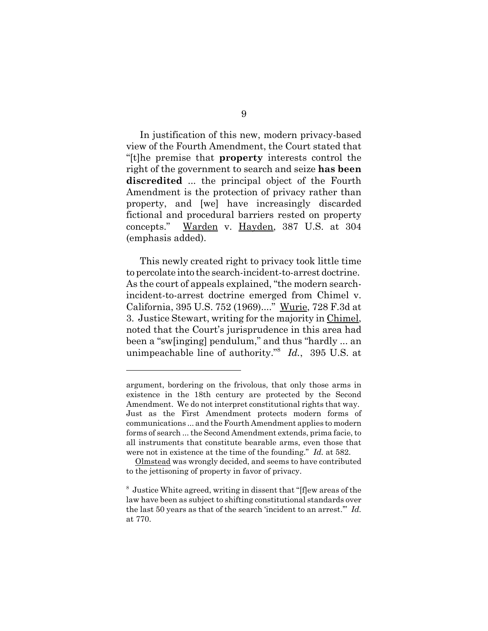In justification of this new, modern privacy-based view of the Fourth Amendment, the Court stated that "[t]he premise that **property** interests control the right of the government to search and seize **has been discredited** ... the principal object of the Fourth Amendment is the protection of privacy rather than property, and [we] have increasingly discarded fictional and procedural barriers rested on property concepts." Warden v. Hayden, 387 U.S. at 304 (emphasis added).

This newly created right to privacy took little time to percolate into the search-incident-to-arrest doctrine. As the court of appeals explained, "the modern searchincident-to-arrest doctrine emerged from Chimel v. California, 395 U.S. 752 (1969)...." Wurie, 728 F.3d at 3. Justice Stewart, writing for the majority in Chimel, noted that the Court's jurisprudence in this area had been a "sw[inging] pendulum," and thus "hardly ... an unimpeachable line of authority."8 *Id.*, 395 U.S. at

argument, bordering on the frivolous, that only those arms in existence in the 18th century are protected by the Second Amendment. We do not interpret constitutional rights that way. Just as the First Amendment protects modern forms of communications ... and the Fourth Amendment applies to modern forms of search ... the Second Amendment extends, prima facie, to all instruments that constitute bearable arms, even those that were not in existence at the time of the founding." *Id.* at 582.

Olmstead was wrongly decided, and seems to have contributed to the jettisoning of property in favor of privacy.

<sup>&</sup>lt;sup>8</sup> Justice White agreed, writing in dissent that "[f]ew areas of the law have been as subject to shifting constitutional standards over the last 50 years as that of the search 'incident to an arrest.'" *Id.* at 770.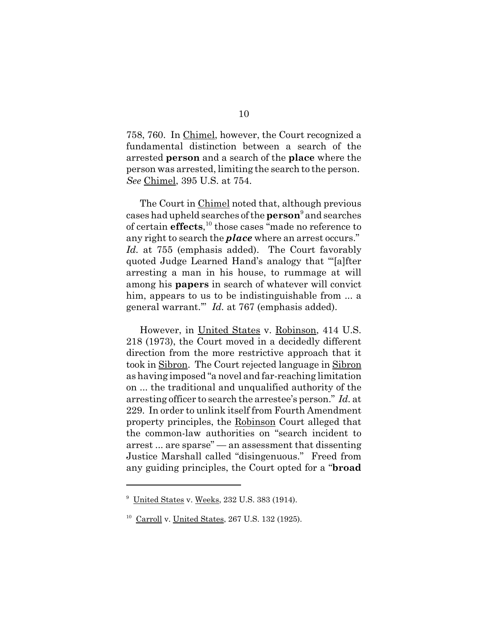758, 760. In Chimel, however, the Court recognized a fundamental distinction between a search of the arrested **person** and a search of the **place** where the person was arrested, limiting the search to the person. *See* Chimel, 395 U.S. at 754.

The Court in Chimel noted that, although previous cases had upheld searches of the **person**<sup>9</sup> and searches of certain **effects**, 10 those cases "made no reference to any right to search the *place* where an arrest occurs." *Id.* at 755 (emphasis added). The Court favorably quoted Judge Learned Hand's analogy that "'[a]fter arresting a man in his house, to rummage at will among his **papers** in search of whatever will convict him, appears to us to be indistinguishable from ... a general warrant.'" *Id.* at 767 (emphasis added).

However, in United States v. Robinson, 414 U.S. 218 (1973), the Court moved in a decidedly different direction from the more restrictive approach that it took in Sibron. The Court rejected language in Sibron as having imposed "a novel and far-reaching limitation on ... the traditional and unqualified authority of the arresting officer to search the arrestee's person." *Id.* at 229. In order to unlink itself from Fourth Amendment property principles, the Robinson Court alleged that the common-law authorities on "search incident to arrest ... are sparse" — an assessment that dissenting Justice Marshall called "disingenuous." Freed from any guiding principles, the Court opted for a "**broad**

<sup>&</sup>lt;sup>9</sup> United States v. Weeks, 232 U.S. 383 (1914).

 $10$  Carroll v. United States, 267 U.S. 132 (1925).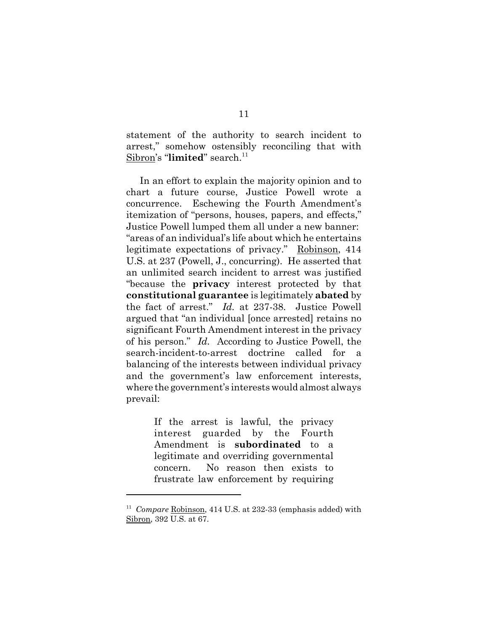statement of the authority to search incident to arrest," somehow ostensibly reconciling that with Sibron's "**limited**" search.<sup>11</sup>

In an effort to explain the majority opinion and to chart a future course, Justice Powell wrote a concurrence. Eschewing the Fourth Amendment's itemization of "persons, houses, papers, and effects," Justice Powell lumped them all under a new banner: "areas of an individual's life about which he entertains legitimate expectations of privacy." Robinson, 414 U.S. at 237 (Powell, J., concurring). He asserted that an unlimited search incident to arrest was justified "because the **privacy** interest protected by that **constitutional guarantee** is legitimately **abated** by the fact of arrest." *Id.* at 237-38. Justice Powell argued that "an individual [once arrested] retains no significant Fourth Amendment interest in the privacy of his person." *Id.* According to Justice Powell, the search-incident-to-arrest doctrine called for balancing of the interests between individual privacy and the government's law enforcement interests, where the government's interests would almost always prevail:

> If the arrest is lawful, the privacy interest guarded by the Fourth Amendment is **subordinated** to a legitimate and overriding governmental concern. No reason then exists to frustrate law enforcement by requiring

<sup>11</sup> *Compare* Robinson, 414 U.S. at 232-33 (emphasis added) with Sibron, 392 U.S. at 67.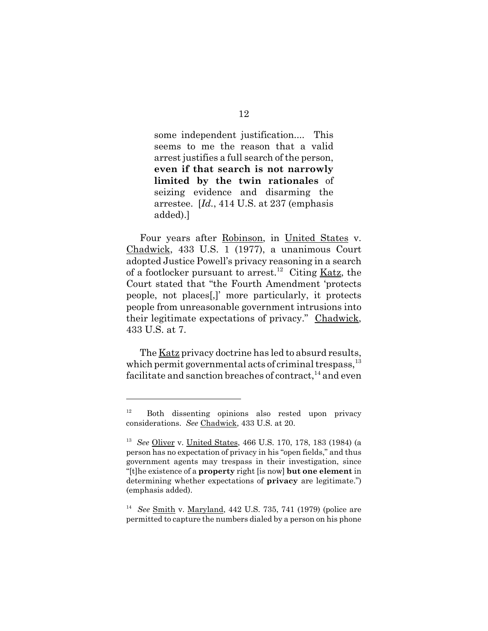some independent justification.... This seems to me the reason that a valid arrest justifies a full search of the person, **even if that search is not narrowly limited by the twin rationales** of seizing evidence and disarming the arrestee. [*Id.*, 414 U.S. at 237 (emphasis added).]

Four years after Robinson, in United States v. Chadwick, 433 U.S. 1 (1977), a unanimous Court adopted Justice Powell's privacy reasoning in a search of a footlocker pursuant to arrest.<sup>12</sup> Citing Katz, the Court stated that "the Fourth Amendment 'protects people, not places[,]' more particularly, it protects people from unreasonable government intrusions into their legitimate expectations of privacy." Chadwick, 433 U.S. at 7.

The Katz privacy doctrine has led to absurd results, which permit governmental acts of criminal trespass, $^{13}$ facilitate and sanction breaches of contract,  $14$  and even

 $12$  Both dissenting opinions also rested upon privacy considerations. *See* Chadwick, 433 U.S. at 20.

<sup>13</sup> *See* Oliver v. United States, 466 U.S. 170, 178, 183 (1984) (a person has no expectation of privacy in his "open fields," and thus government agents may trespass in their investigation, since "[t]he existence of a **property** right [is now] **but one element** in determining whether expectations of **privacy** are legitimate.") (emphasis added).

<sup>14</sup> *See* Smith v. Maryland, 442 U.S. 735, 741 (1979) (police are permitted to capture the numbers dialed by a person on his phone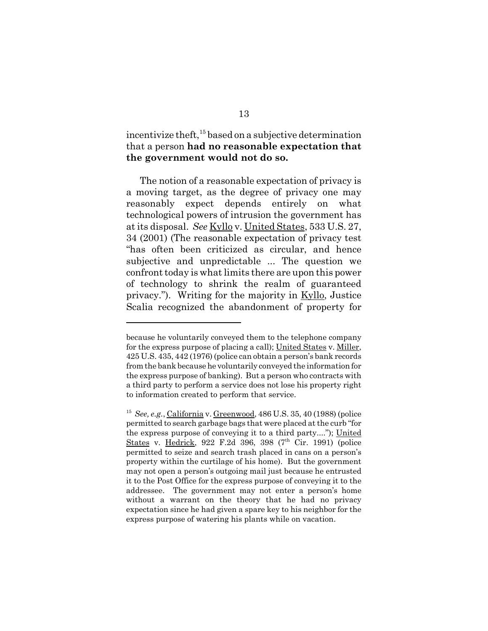incentivize theft, $15$  based on a subjective determination that a person **had no reasonable expectation that the government would not do so.**

The notion of a reasonable expectation of privacy is a moving target, as the degree of privacy one may reasonably expect depends entirely on what technological powers of intrusion the government has at its disposal. *See* Kyllo v. United States, 533 U.S. 27, 34 (2001) (The reasonable expectation of privacy test "has often been criticized as circular, and hence subjective and unpredictable ... The question we confront today is what limits there are upon this power of technology to shrink the realm of guaranteed privacy."). Writing for the majority in Kyllo, Justice Scalia recognized the abandonment of property for

because he voluntarily conveyed them to the telephone company for the express purpose of placing a call); United States v. Miller, 425 U.S. 435, 442 (1976) (police can obtain a person's bank records from the bank because he voluntarily conveyed the information for the express purpose of banking). But a person who contracts with a third party to perform a service does not lose his property right to information created to perform that service.

<sup>15</sup> *See, e.g.*, California v. Greenwood, 486 U.S. 35, 40 (1988) (police permitted to search garbage bags that were placed at the curb "for the express purpose of conveying it to a third party...."); United States v. Hedrick, 922 F.2d 396, 398  $(7<sup>th</sup>$  Cir. 1991) (police permitted to seize and search trash placed in cans on a person's property within the curtilage of his home). But the government may not open a person's outgoing mail just because he entrusted it to the Post Office for the express purpose of conveying it to the addressee. The government may not enter a person's home without a warrant on the theory that he had no privacy expectation since he had given a spare key to his neighbor for the express purpose of watering his plants while on vacation.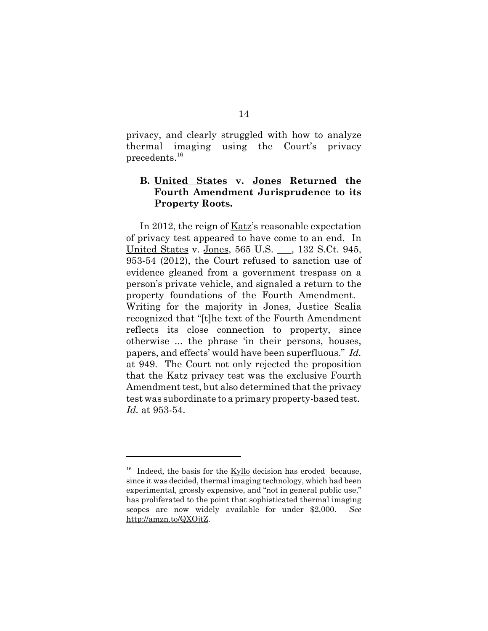privacy, and clearly struggled with how to analyze thermal imaging using the Court's privacy precedents.<sup>16</sup>

## **B. United States v. Jones Returned the Fourth Amendment Jurisprudence to its Property Roots.**

In 2012, the reign of Katz's reasonable expectation of privacy test appeared to have come to an end. In United States v. Jones, 565 U.S. \_\_\_, 132 S.Ct. 945, 953-54 (2012), the Court refused to sanction use of evidence gleaned from a government trespass on a person's private vehicle, and signaled a return to the property foundations of the Fourth Amendment. Writing for the majority in Jones, Justice Scalia recognized that "[t]he text of the Fourth Amendment reflects its close connection to property, since otherwise ... the phrase 'in their persons, houses, papers, and effects' would have been superfluous." *Id.* at 949. The Court not only rejected the proposition that the Katz privacy test was the exclusive Fourth Amendment test, but also determined that the privacy test was subordinate to a primary property-based test. *Id.* at 953-54.

 $16$  Indeed, the basis for the Kyllo decision has eroded because, since it was decided, thermal imaging technology, which had been experimental, grossly expensive, and "not in general public use," has proliferated to the point that sophisticated thermal imaging scopes are now widely available for under \$2,000. *See* http://amzn.to/QXOjtZ.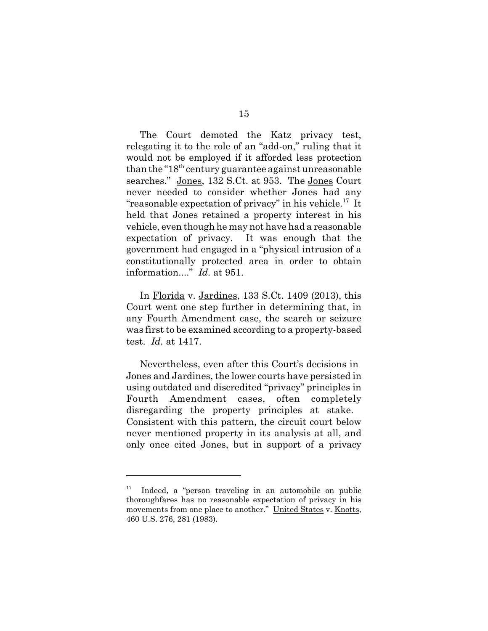The Court demoted the <u>Katz</u> privacy test, relegating it to the role of an "add-on," ruling that it would not be employed if it afforded less protection than the " $18<sup>th</sup>$  century guarantee against unreasonable searches." Jones, 132 S.Ct. at 953. The Jones Court never needed to consider whether Jones had any "reasonable expectation of privacy" in his vehicle.17 It held that Jones retained a property interest in his vehicle, even though he may not have had a reasonable expectation of privacy. It was enough that the government had engaged in a "physical intrusion of a constitutionally protected area in order to obtain information...." *Id.* at 951.

In Florida v. Jardines, 133 S.Ct. 1409 (2013), this Court went one step further in determining that, in any Fourth Amendment case, the search or seizure was first to be examined according to a property-based test. *Id.* at 1417.

Nevertheless, even after this Court's decisions in Jones and Jardines, the lower courts have persisted in using outdated and discredited "privacy" principles in Fourth Amendment cases, often completely disregarding the property principles at stake. Consistent with this pattern, the circuit court below never mentioned property in its analysis at all, and only once cited Jones, but in support of a privacy

 $17$  Indeed, a "person traveling in an automobile on public thoroughfares has no reasonable expectation of privacy in his movements from one place to another." United States v. Knotts, 460 U.S. 276, 281 (1983).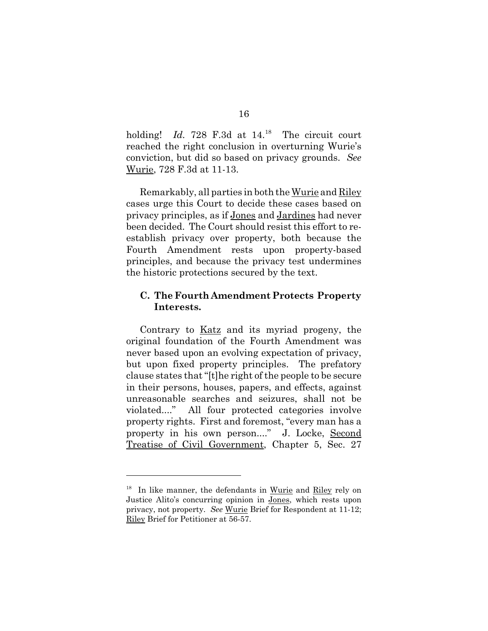holding! *Id.* 728 F.3d at 14.<sup>18</sup> The circuit court reached the right conclusion in overturning Wurie's conviction, but did so based on privacy grounds. *See* Wurie, 728 F.3d at 11-13.

Remarkably, all parties in both the Wurie and Riley cases urge this Court to decide these cases based on privacy principles, as if Jones and Jardines had never been decided. The Court should resist this effort to reestablish privacy over property, both because the Fourth Amendment rests upon property-based principles, and because the privacy test undermines the historic protections secured by the text.

### **C. The Fourth Amendment Protects Property Interests.**

Contrary to Katz and its myriad progeny, the original foundation of the Fourth Amendment was never based upon an evolving expectation of privacy, but upon fixed property principles. The prefatory clause states that "[t]he right of the people to be secure in their persons, houses, papers, and effects, against unreasonable searches and seizures, shall not be violated...." All four protected categories involve property rights. First and foremost, "every man has a property in his own person...." J. Locke, Second Treatise of Civil Government, Chapter 5, Sec. 27

<sup>&</sup>lt;sup>18</sup> In like manner, the defendants in Wurie and Riley rely on Justice Alito's concurring opinion in Jones, which rests upon privacy, not property. *See* Wurie Brief for Respondent at 11-12; Riley Brief for Petitioner at 56-57.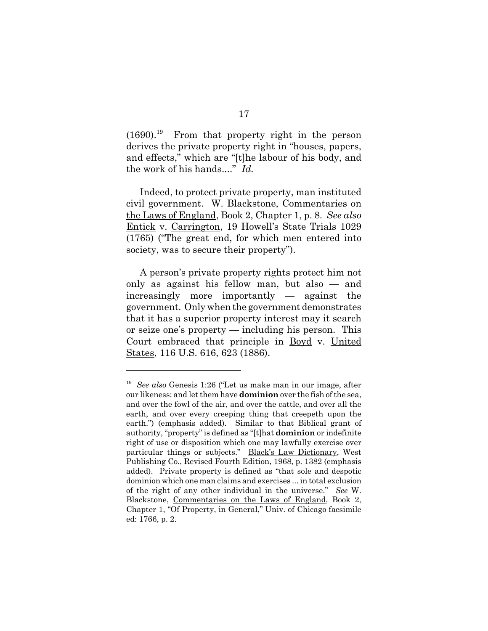$(1690).$ <sup>19</sup> From that property right in the person derives the private property right in "houses, papers, and effects," which are "[t]he labour of his body, and the work of his hands...." *Id.*

Indeed, to protect private property, man instituted civil government. W. Blackstone, Commentaries on the Laws of England, Book 2, Chapter 1, p. 8. *See also* Entick v. Carrington, 19 Howell's State Trials 1029 (1765) ("The great end, for which men entered into society, was to secure their property").

A person's private property rights protect him not only as against his fellow man, but also — and increasingly more importantly — against the government. Only when the government demonstrates that it has a superior property interest may it search or seize one's property — including his person. This Court embraced that principle in Boyd v. United States, 116 U.S. 616, 623 (1886).

<sup>19</sup> *See also* Genesis 1:26 ("Let us make man in our image, after our likeness: and let them have **dominion** over the fish of the sea, and over the fowl of the air, and over the cattle, and over all the earth, and over every creeping thing that creepeth upon the earth.") (emphasis added). Similar to that Biblical grant of authority, "property" is defined as "[t]hat **dominion** or indefinite right of use or disposition which one may lawfully exercise over particular things or subjects." Black's Law Dictionary, West Publishing Co., Revised Fourth Edition, 1968, p. 1382 (emphasis added). Private property is defined as "that sole and despotic dominion which one man claims and exercises ... in total exclusion of the right of any other individual in the universe." *See* W. Blackstone, Commentaries on the Laws of England, Book 2, Chapter 1, "Of Property, in General," Univ. of Chicago facsimile ed: 1766, p. 2.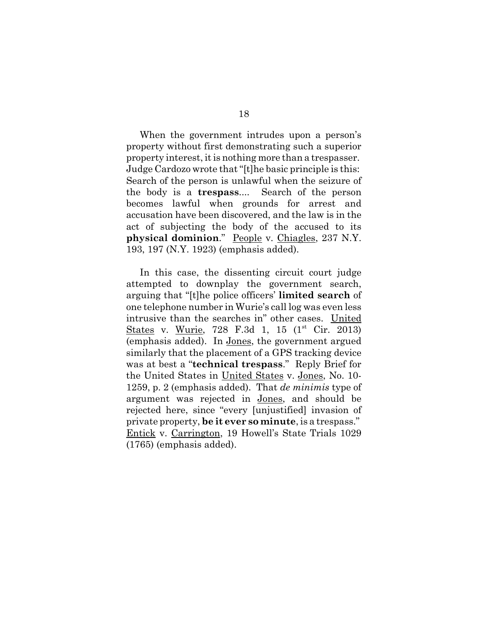When the government intrudes upon a person's property without first demonstrating such a superior property interest, it is nothing more than a trespasser. Judge Cardozo wrote that "[t]he basic principle is this: Search of the person is unlawful when the seizure of the body is a **trespass**.... Search of the person becomes lawful when grounds for arrest and accusation have been discovered, and the law is in the act of subjecting the body of the accused to its **physical dominion**." People v. Chiagles, 237 N.Y. 193, 197 (N.Y. 1923) (emphasis added).

In this case, the dissenting circuit court judge attempted to downplay the government search, arguing that "[t]he police officers' **limited search** of one telephone number in Wurie's call log was even less intrusive than the searches in" other cases. United States v. Wurie, 728 F.3d 1, 15 (1<sup>st</sup> Cir. 2013) (emphasis added). In Jones, the government argued similarly that the placement of a GPS tracking device was at best a "**technical trespass**." Reply Brief for the United States in United States v. Jones, No. 10- 1259, p. 2 (emphasis added). That *de minimis* type of argument was rejected in Jones, and should be rejected here, since "every [unjustified] invasion of private property, **be it ever so minute**, is a trespass." Entick v. Carrington, 19 Howell's State Trials 1029 (1765) (emphasis added).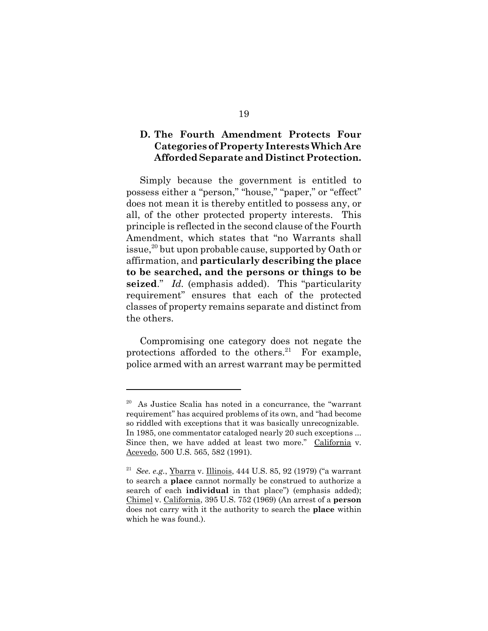### **D. The Fourth Amendment Protects Four Categories of Property Interests Which Are Afforded Separate and Distinct Protection.**

Simply because the government is entitled to possess either a "person," "house," "paper," or "effect" does not mean it is thereby entitled to possess any, or all, of the other protected property interests. This principle is reflected in the second clause of the Fourth Amendment, which states that "no Warrants shall issue,<sup>20</sup> but upon probable cause, supported by Oath or affirmation, and **particularly describing the place to be searched, and the persons or things to be seized**." *Id.* (emphasis added). This "particularity requirement" ensures that each of the protected classes of property remains separate and distinct from the others.

Compromising one category does not negate the protections afforded to the others. $21$  For example, police armed with an arrest warrant may be permitted

<sup>20</sup> As Justice Scalia has noted in a concurrance, the "warrant requirement" has acquired problems of its own, and "had become so riddled with exceptions that it was basically unrecognizable. In 1985, one commentator cataloged nearly 20 such exceptions ... Since then, we have added at least two more." California v. Acevedo, 500 U.S. 565, 582 (1991).

<sup>21</sup> *See. e.g.*, Ybarra v. Illinois, 444 U.S. 85, 92 (1979) ("a warrant to search a **place** cannot normally be construed to authorize a search of each **individual** in that place") (emphasis added); Chimel v. California, 395 U.S. 752 (1969) (An arrest of a **person** does not carry with it the authority to search the **place** within which he was found.).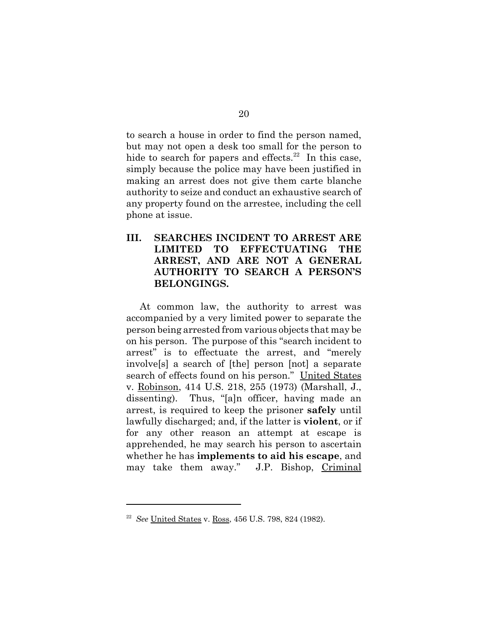to search a house in order to find the person named, but may not open a desk too small for the person to hide to search for papers and effects.<sup>22</sup> In this case, simply because the police may have been justified in making an arrest does not give them carte blanche authority to seize and conduct an exhaustive search of any property found on the arrestee, including the cell phone at issue.

## **III. SEARCHES INCIDENT TO ARREST ARE LIMITED TO EFFECTUATING THE ARREST, AND ARE NOT A GENERAL AUTHORITY TO SEARCH A PERSON'S BELONGINGS.**

At common law, the authority to arrest was accompanied by a very limited power to separate the person being arrested from various objects that may be on his person. The purpose of this "search incident to arrest" is to effectuate the arrest, and "merely involve[s] a search of [the] person [not] a separate search of effects found on his person." United States v. Robinson, 414 U.S. 218, 255 (1973) (Marshall, J., dissenting). Thus, "[a]n officer, having made an arrest, is required to keep the prisoner **safely** until lawfully discharged; and, if the latter is **violent**, or if for any other reason an attempt at escape is apprehended, he may search his person to ascertain whether he has **implements to aid his escape**, and may take them away." J.P. Bishop, Criminal

<sup>22</sup> *See* United States v. Ross, 456 U.S. 798, 824 (1982).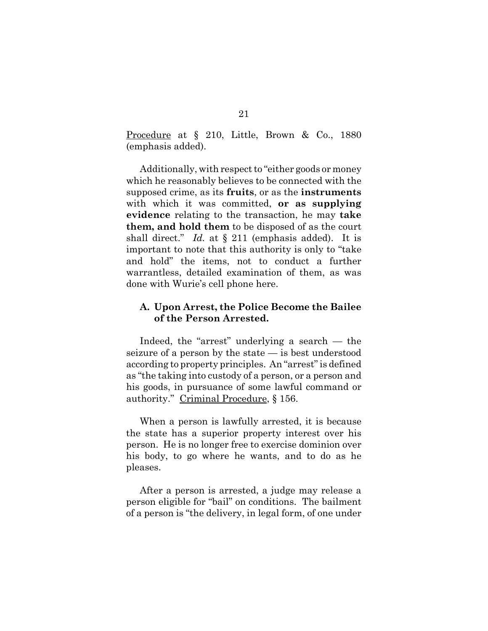Procedure at § 210, Little, Brown & Co., 1880 (emphasis added).

Additionally, with respect to "either goods or money which he reasonably believes to be connected with the supposed crime, as its **fruits**, or as the **instruments** with which it was committed, **or as supplying evidence** relating to the transaction, he may **take them, and hold them** to be disposed of as the court shall direct." *Id.* at § 211 (emphasis added). It is important to note that this authority is only to "take and hold" the items, not to conduct a further warrantless, detailed examination of them, as was done with Wurie's cell phone here.

#### **A. Upon Arrest, the Police Become the Bailee of the Person Arrested.**

Indeed, the "arrest" underlying a search — the seizure of a person by the state — is best understood according to property principles. An "arrest" is defined as "the taking into custody of a person, or a person and his goods, in pursuance of some lawful command or authority." Criminal Procedure, § 156.

When a person is lawfully arrested, it is because the state has a superior property interest over his person. He is no longer free to exercise dominion over his body, to go where he wants, and to do as he pleases.

After a person is arrested, a judge may release a person eligible for "bail" on conditions. The bailment of a person is "the delivery, in legal form, of one under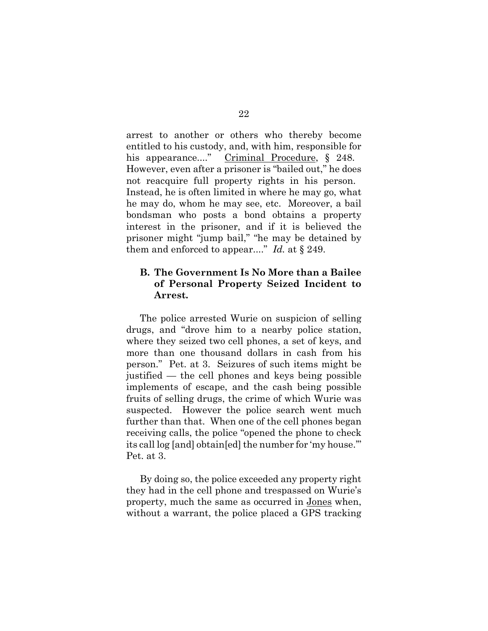arrest to another or others who thereby become entitled to his custody, and, with him, responsible for his appearance...." Criminal Procedure, § 248. However, even after a prisoner is "bailed out," he does not reacquire full property rights in his person. Instead, he is often limited in where he may go, what he may do, whom he may see, etc. Moreover, a bail bondsman who posts a bond obtains a property interest in the prisoner, and if it is believed the prisoner might "jump bail," "he may be detained by them and enforced to appear...." *Id.* at § 249.

#### **B. The Government Is No More than a Bailee of Personal Property Seized Incident to Arrest.**

The police arrested Wurie on suspicion of selling drugs, and "drove him to a nearby police station, where they seized two cell phones, a set of keys, and more than one thousand dollars in cash from his person." Pet. at 3. Seizures of such items might be justified — the cell phones and keys being possible implements of escape, and the cash being possible fruits of selling drugs, the crime of which Wurie was suspected. However the police search went much further than that. When one of the cell phones began receiving calls, the police "opened the phone to check its call log [and] obtain[ed] the number for 'my house.'" Pet. at 3.

By doing so, the police exceeded any property right they had in the cell phone and trespassed on Wurie's property, much the same as occurred in Jones when, without a warrant, the police placed a GPS tracking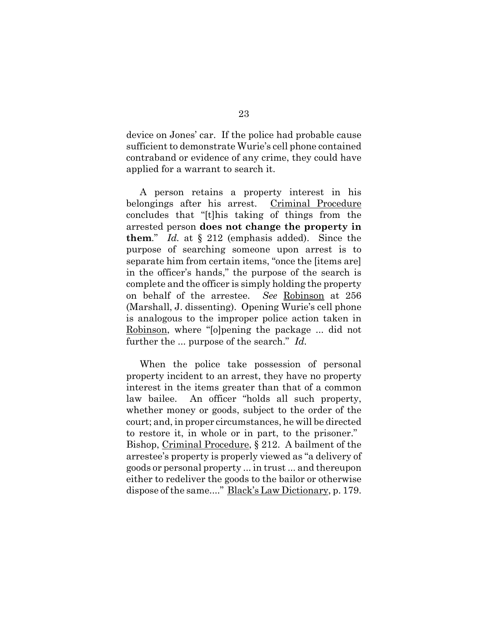device on Jones' car. If the police had probable cause sufficient to demonstrate Wurie's cell phone contained contraband or evidence of any crime, they could have applied for a warrant to search it.

A person retains a property interest in his belongings after his arrest. Criminal Procedure concludes that "[t]his taking of things from the arrested person **does not change the property in them**." *Id.* at § 212 (emphasis added). Since the purpose of searching someone upon arrest is to separate him from certain items, "once the [items are] in the officer's hands," the purpose of the search is complete and the officer is simply holding the property on behalf of the arrestee. *See* Robinson at 256 (Marshall, J. dissenting). Opening Wurie's cell phone is analogous to the improper police action taken in Robinson, where "[o]pening the package ... did not further the ... purpose of the search." *Id.*

When the police take possession of personal property incident to an arrest, they have no property interest in the items greater than that of a common law bailee. An officer "holds all such property, whether money or goods, subject to the order of the court; and, in proper circumstances, he will be directed to restore it, in whole or in part, to the prisoner." Bishop, Criminal Procedure, § 212. A bailment of the arrestee's property is properly viewed as "a delivery of goods or personal property ... in trust ... and thereupon either to redeliver the goods to the bailor or otherwise dispose of the same...." Black's Law Dictionary, p. 179.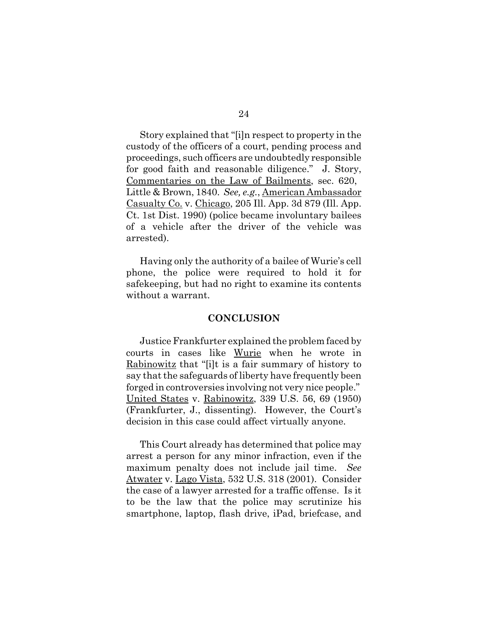Story explained that "[i]n respect to property in the custody of the officers of a court, pending process and proceedings, such officers are undoubtedly responsible for good faith and reasonable diligence." J. Story, Commentaries on the Law of Bailments, sec. 620, Little & Brown, 1840. *See, e.g.*, American Ambassador Casualty Co. v. Chicago, 205 Ill. App. 3d 879 (Ill. App. Ct. 1st Dist. 1990) (police became involuntary bailees of a vehicle after the driver of the vehicle was arrested).

Having only the authority of a bailee of Wurie's cell phone, the police were required to hold it for safekeeping, but had no right to examine its contents without a warrant.

#### **CONCLUSION**

Justice Frankfurter explained the problem faced by courts in cases like Wurie when he wrote in Rabinowitz that "[i]t is a fair summary of history to say that the safeguards of liberty have frequently been forged in controversies involving not very nice people." United States v. Rabinowitz, 339 U.S. 56, 69 (1950) (Frankfurter, J., dissenting). However, the Court's decision in this case could affect virtually anyone.

This Court already has determined that police may arrest a person for any minor infraction, even if the maximum penalty does not include jail time. *See* Atwater v. Lago Vista, 532 U.S. 318 (2001). Consider the case of a lawyer arrested for a traffic offense. Is it to be the law that the police may scrutinize his smartphone, laptop, flash drive, iPad, briefcase, and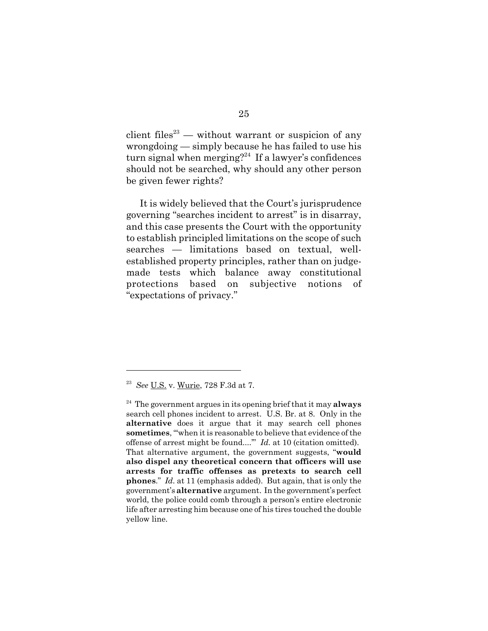client files $^{23}$  — without warrant or suspicion of any wrongdoing — simply because he has failed to use his turn signal when merging?<sup>24</sup> If a lawyer's confidences should not be searched, why should any other person be given fewer rights?

It is widely believed that the Court's jurisprudence governing "searches incident to arrest" is in disarray, and this case presents the Court with the opportunity to establish principled limitations on the scope of such searches — limitations based on textual, wellestablished property principles, rather than on judgemade tests which balance away constitutional protections based on subjective notions of "expectations of privacy."

<sup>23</sup> *See* U.S. v. Wurie, 728 F.3d at 7.

<sup>24</sup> The government argues in its opening brief that it may **always** search cell phones incident to arrest. U.S. Br. at 8. Only in the **alternative** does it argue that it may search cell phones **sometimes**, "'when it is reasonable to believe that evidence of the offense of arrest might be found....'" *Id.* at 10 (citation omitted). That alternative argument, the government suggests, "**would also dispel any theoretical concern that officers will use arrests for traffic offenses as pretexts to search cell phones**." *Id.* at 11 (emphasis added). But again, that is only the government's **alternative** argument. In the government's perfect world, the police could comb through a person's entire electronic life after arresting him because one of his tires touched the double yellow line.